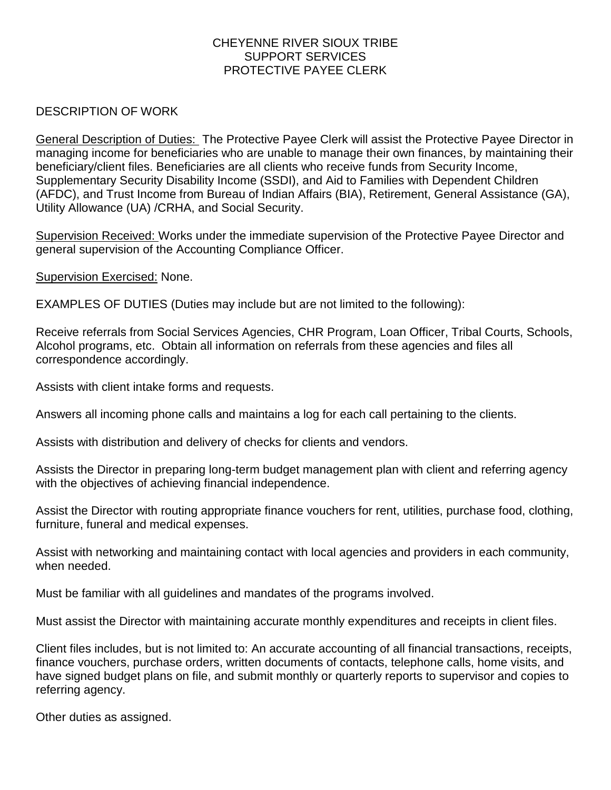## CHEYENNE RIVER SIOUX TRIBE SUPPORT SERVICES PROTECTIVE PAYEE CLERK

## DESCRIPTION OF WORK

General Description of Duties: The Protective Payee Clerk will assist the Protective Payee Director in managing income for beneficiaries who are unable to manage their own finances, by maintaining their beneficiary/client files. Beneficiaries are all clients who receive funds from Security Income, Supplementary Security Disability Income (SSDI), and Aid to Families with Dependent Children (AFDC), and Trust Income from Bureau of Indian Affairs (BIA), Retirement, General Assistance (GA), Utility Allowance (UA) /CRHA, and Social Security.

Supervision Received: Works under the immediate supervision of the Protective Payee Director and general supervision of the Accounting Compliance Officer.

Supervision Exercised: None.

EXAMPLES OF DUTIES (Duties may include but are not limited to the following):

Receive referrals from Social Services Agencies, CHR Program, Loan Officer, Tribal Courts, Schools, Alcohol programs, etc. Obtain all information on referrals from these agencies and files all correspondence accordingly.

Assists with client intake forms and requests.

Answers all incoming phone calls and maintains a log for each call pertaining to the clients.

Assists with distribution and delivery of checks for clients and vendors.

Assists the Director in preparing long-term budget management plan with client and referring agency with the objectives of achieving financial independence.

Assist the Director with routing appropriate finance vouchers for rent, utilities, purchase food, clothing, furniture, funeral and medical expenses.

Assist with networking and maintaining contact with local agencies and providers in each community, when needed.

Must be familiar with all guidelines and mandates of the programs involved.

Must assist the Director with maintaining accurate monthly expenditures and receipts in client files.

Client files includes, but is not limited to: An accurate accounting of all financial transactions, receipts, finance vouchers, purchase orders, written documents of contacts, telephone calls, home visits, and have signed budget plans on file, and submit monthly or quarterly reports to supervisor and copies to referring agency.

Other duties as assigned.